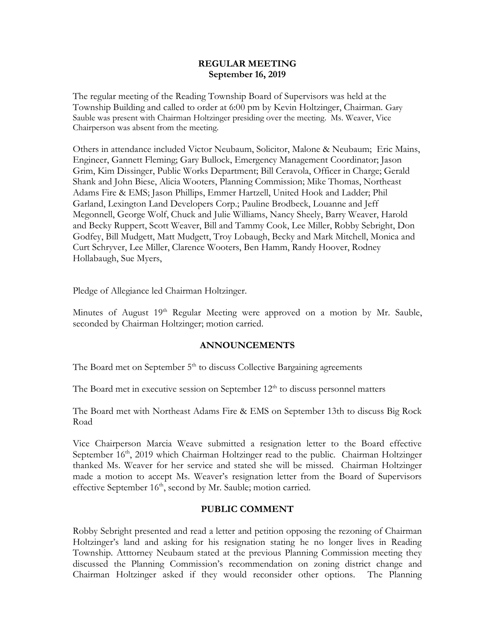#### **REGULAR MEETING September 16, 2019**

The regular meeting of the Reading Township Board of Supervisors was held at the Township Building and called to order at 6:00 pm by Kevin Holtzinger, Chairman. Gary Sauble was present with Chairman Holtzinger presiding over the meeting. Ms. Weaver, Vice Chairperson was absent from the meeting.

Others in attendance included Victor Neubaum, Solicitor, Malone & Neubaum; Eric Mains, Engineer, Gannett Fleming; Gary Bullock, Emergency Management Coordinator; Jason Grim, Kim Dissinger, Public Works Department; Bill Ceravola, Officer in Charge; Gerald Shank and John Biese, Alicia Wooters, Planning Commission; Mike Thomas, Northeast Adams Fire & EMS; Jason Phillips, Emmer Hartzell, United Hook and Ladder; Phil Garland, Lexington Land Developers Corp.; Pauline Brodbeck, Louanne and Jeff Megonnell, George Wolf, Chuck and Julie Williams, Nancy Sheely, Barry Weaver, Harold and Becky Ruppert, Scott Weaver, Bill and Tammy Cook, Lee Miller, Robby Sebright, Don Godfey, Bill Mudgett, Matt Mudgett, Troy Lobaugh, Becky and Mark Mitchell, Monica and Curt Schryver, Lee Miller, Clarence Wooters, Ben Hamm, Randy Hoover, Rodney Hollabaugh, Sue Myers,

Pledge of Allegiance led Chairman Holtzinger.

Minutes of August 19<sup>th</sup> Regular Meeting were approved on a motion by Mr. Sauble, seconded by Chairman Holtzinger; motion carried.

# **ANNOUNCEMENTS**

The Board met on September  $5<sup>th</sup>$  to discuss Collective Bargaining agreements

The Board met in executive session on September  $12<sup>th</sup>$  to discuss personnel matters

The Board met with Northeast Adams Fire & EMS on September 13th to discuss Big Rock Road

Vice Chairperson Marcia Weave submitted a resignation letter to the Board effective September 16<sup>th</sup>, 2019 which Chairman Holtzinger read to the public. Chairman Holtzinger thanked Ms. Weaver for her service and stated she will be missed. Chairman Holtzinger made a motion to accept Ms. Weaver's resignation letter from the Board of Supervisors effective September 16<sup>th</sup>, second by Mr. Sauble; motion carried.

# **PUBLIC COMMENT**

Robby Sebright presented and read a letter and petition opposing the rezoning of Chairman Holtzinger's land and asking for his resignation stating he no longer lives in Reading Township. Atttorney Neubaum stated at the previous Planning Commission meeting they discussed the Planning Commission's recommendation on zoning district change and Chairman Holtzinger asked if they would reconsider other options. The Planning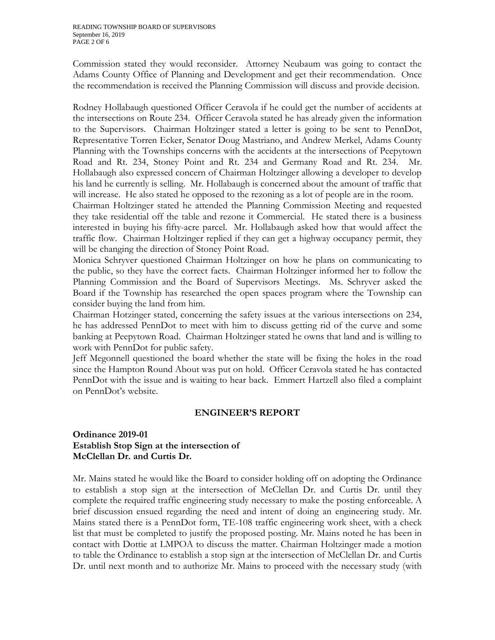Commission stated they would reconsider. Attorney Neubaum was going to contact the Adams County Office of Planning and Development and get their recommendation. Once the recommendation is received the Planning Commission will discuss and provide decision.

Rodney Hollabaugh questioned Officer Ceravola if he could get the number of accidents at the intersections on Route 234. Officer Ceravola stated he has already given the information to the Supervisors. Chairman Holtzinger stated a letter is going to be sent to PennDot, Representative Torren Ecker, Senator Doug Mastriano, and Andrew Merkel, Adams County Planning with the Townships concerns with the accidents at the intersections of Peepytown Road and Rt. 234, Stoney Point and Rt. 234 and Germany Road and Rt. 234. Mr. Hollabaugh also expressed concern of Chairman Holtzinger allowing a developer to develop his land he currently is selling. Mr. Hollabaugh is concerned about the amount of traffic that will increase. He also stated he opposed to the rezoning as a lot of people are in the room.

Chairman Holtzinger stated he attended the Planning Commission Meeting and requested they take residential off the table and rezone it Commercial. He stated there is a business interested in buying his fifty-acre parcel. Mr. Hollabaugh asked how that would affect the traffic flow. Chairman Holtzinger replied if they can get a highway occupancy permit, they will be changing the direction of Stoney Point Road.

Monica Schryver questioned Chairman Holtzinger on how he plans on communicating to the public, so they have the correct facts. Chairman Holtzinger informed her to follow the Planning Commission and the Board of Supervisors Meetings. Ms. Schryver asked the Board if the Township has researched the open spaces program where the Township can consider buying the land from him.

Chairman Hotzinger stated, concerning the safety issues at the various intersections on 234, he has addressed PennDot to meet with him to discuss getting rid of the curve and some banking at Peepytown Road. Chairman Holtzinger stated he owns that land and is willing to work with PennDot for public safety.

Jeff Megonnell questioned the board whether the state will be fixing the holes in the road since the Hampton Round About was put on hold. Officer Ceravola stated he has contacted PennDot with the issue and is waiting to hear back. Emmert Hartzell also filed a complaint on PennDot's website.

# **ENGINEER'S REPORT**

# **Ordinance 2019-01 Establish Stop Sign at the intersection of McClellan Dr. and Curtis Dr.**

Mr. Mains stated he would like the Board to consider holding off on adopting the Ordinance to establish a stop sign at the intersection of McClellan Dr. and Curtis Dr. until they complete the required traffic engineering study necessary to make the posting enforceable. A brief discussion ensued regarding the need and intent of doing an engineering study. Mr. Mains stated there is a PennDot form, TE-108 traffic engineering work sheet, with a check list that must be completed to justify the proposed posting. Mr. Mains noted he has been in contact with Dottie at LMPOA to discuss the matter. Chairman Holtzinger made a motion to table the Ordinance to establish a stop sign at the intersection of McClellan Dr. and Curtis Dr. until next month and to authorize Mr. Mains to proceed with the necessary study (with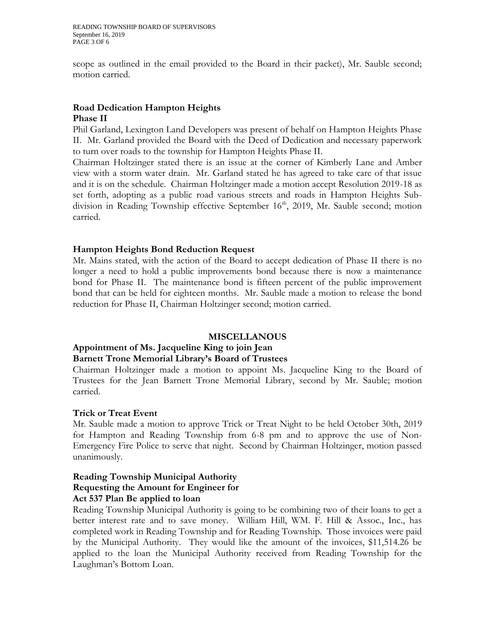scope as outlined in the email provided to the Board in their packet), Mr. Sauble second; motion carried.

# **Road Dedication Hampton Heights Phase II**

Phil Garland, Lexington Land Developers was present of behalf on Hampton Heights Phase II. Mr. Garland provided the Board with the Deed of Dedication and necessary paperwork to turn over roads to the township for Hampton Heights Phase II.

Chairman Holtzinger stated there is an issue at the corner of Kimberly Lane and Amber view with a storm water drain. Mr. Garland stated he has agreed to take care of that issue and it is on the schedule. Chairman Holtzinger made a motion accept Resolution 2019-18 as set forth, adopting as a public road various streets and roads in Hampton Heights Subdivision in Reading Township effective September 16<sup>th</sup>, 2019, Mr. Sauble second; motion carried.

# **Hampton Heights Bond Reduction Request**

Mr. Mains stated, with the action of the Board to accept dedication of Phase II there is no longer a need to hold a public improvements bond because there is now a maintenance bond for Phase II. The maintenance bond is fifteen percent of the public improvement bond that can be held for eighteen months. Mr. Sauble made a motion to release the bond reduction for Phase II, Chairman Holtzinger second; motion carried.

# **MISCELLANOUS**

# **Appointment of Ms. Jacqueline King to join Jean Barnett Trone Memorial Library's Board of Trustees**

Chairman Holtzinger made a motion to appoint Ms. Jacqueline King to the Board of Trustees for the Jean Barnett Trone Memorial Library, second by Mr. Sauble; motion carried.

# **Trick or Treat Event**

Mr. Sauble made a motion to approve Trick or Treat Night to be held October 30th, 2019 for Hampton and Reading Township from 6-8 pm and to approve the use of Non-Emergency Fire Police to serve that night. Second by Chairman Holtzinger, motion passed unanimously.

#### **Reading Township Municipal Authority Requesting the Amount for Engineer for Act 537 Plan Be applied to loan**

Reading Township Municipal Authority is going to be combining two of their loans to get a better interest rate and to save money. William Hill, WM. F. Hill & Assoc., Inc., has completed work in Reading Township and for Reading Township. Those invoices were paid by the Municipal Authority. They would like the amount of the invoices, \$11,514.26 be applied to the loan the Municipal Authority received from Reading Township for the Laughman's Bottom Loan.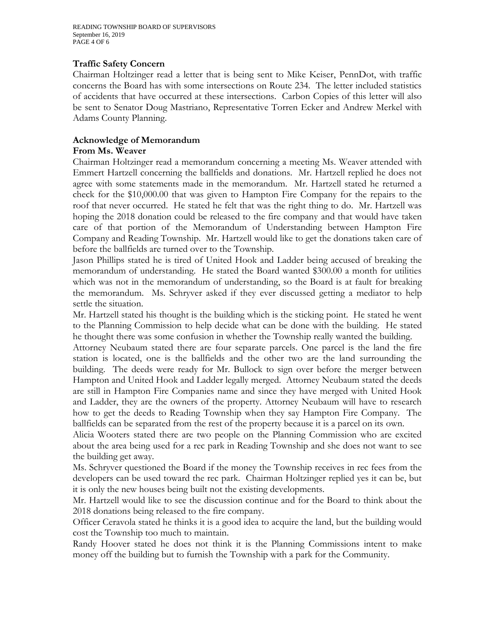READING TOWNSHIP BOARD OF SUPERVISORS September 16, 2019 PAGE 4 OF 6

#### **Traffic Safety Concern**

Chairman Holtzinger read a letter that is being sent to Mike Keiser, PennDot, with traffic concerns the Board has with some intersections on Route 234. The letter included statistics of accidents that have occurred at these intersections. Carbon Copies of this letter will also be sent to Senator Doug Mastriano, Representative Torren Ecker and Andrew Merkel with Adams County Planning.

# **Acknowledge of Memorandum**

#### **From Ms. Weaver**

Chairman Holtzinger read a memorandum concerning a meeting Ms. Weaver attended with Emmert Hartzell concerning the ballfields and donations. Mr. Hartzell replied he does not agree with some statements made in the memorandum. Mr. Hartzell stated he returned a check for the \$10,000.00 that was given to Hampton Fire Company for the repairs to the roof that never occurred. He stated he felt that was the right thing to do. Mr. Hartzell was hoping the 2018 donation could be released to the fire company and that would have taken care of that portion of the Memorandum of Understanding between Hampton Fire Company and Reading Township. Mr. Hartzell would like to get the donations taken care of before the ballfields are turned over to the Township.

Jason Phillips stated he is tired of United Hook and Ladder being accused of breaking the memorandum of understanding. He stated the Board wanted \$300.00 a month for utilities which was not in the memorandum of understanding, so the Board is at fault for breaking the memorandum. Ms. Schryver asked if they ever discussed getting a mediator to help settle the situation.

Mr. Hartzell stated his thought is the building which is the sticking point. He stated he went to the Planning Commission to help decide what can be done with the building. He stated he thought there was some confusion in whether the Township really wanted the building.

Attorney Neubaum stated there are four separate parcels. One parcel is the land the fire station is located, one is the ballfields and the other two are the land surrounding the building. The deeds were ready for Mr. Bullock to sign over before the merger between Hampton and United Hook and Ladder legally merged. Attorney Neubaum stated the deeds are still in Hampton Fire Companies name and since they have merged with United Hook and Ladder, they are the owners of the property. Attorney Neubaum will have to research how to get the deeds to Reading Township when they say Hampton Fire Company. The ballfields can be separated from the rest of the property because it is a parcel on its own.

Alicia Wooters stated there are two people on the Planning Commission who are excited about the area being used for a rec park in Reading Township and she does not want to see the building get away.

Ms. Schryver questioned the Board if the money the Township receives in rec fees from the developers can be used toward the rec park. Chairman Holtzinger replied yes it can be, but it is only the new houses being built not the existing developments.

Mr. Hartzell would like to see the discussion continue and for the Board to think about the 2018 donations being released to the fire company.

Officer Ceravola stated he thinks it is a good idea to acquire the land, but the building would cost the Township too much to maintain.

Randy Hoover stated he does not think it is the Planning Commissions intent to make money off the building but to furnish the Township with a park for the Community.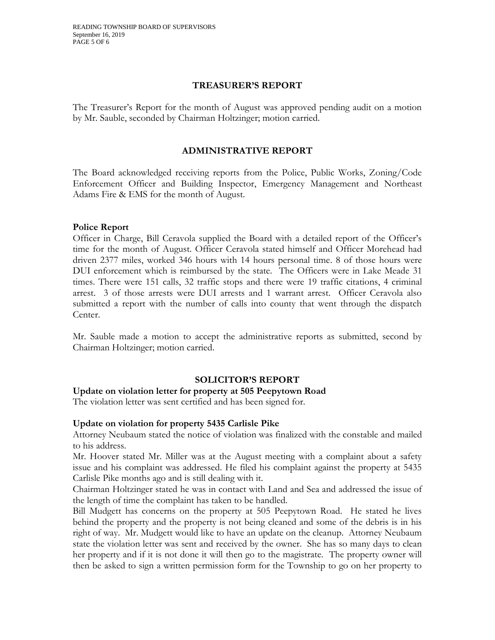#### **TREASURER'S REPORT**

The Treasurer's Report for the month of August was approved pending audit on a motion by Mr. Sauble, seconded by Chairman Holtzinger; motion carried.

# **ADMINISTRATIVE REPORT**

The Board acknowledged receiving reports from the Police, Public Works, Zoning/Code Enforcement Officer and Building Inspector, Emergency Management and Northeast Adams Fire & EMS for the month of August.

#### **Police Report**

Officer in Charge, Bill Ceravola supplied the Board with a detailed report of the Officer's time for the month of August. Officer Ceravola stated himself and Officer Morehead had driven 2377 miles, worked 346 hours with 14 hours personal time. 8 of those hours were DUI enforcement which is reimbursed by the state. The Officers were in Lake Meade 31 times. There were 151 calls, 32 traffic stops and there were 19 traffic citations, 4 criminal arrest. 3 of those arrests were DUI arrests and 1 warrant arrest. Officer Ceravola also submitted a report with the number of calls into county that went through the dispatch Center.

Mr. Sauble made a motion to accept the administrative reports as submitted, second by Chairman Holtzinger; motion carried.

# **SOLICITOR'S REPORT**

#### **Update on violation letter for property at 505 Peepytown Road**

The violation letter was sent certified and has been signed for.

#### **Update on violation for property 5435 Carlisle Pike**

Attorney Neubaum stated the notice of violation was finalized with the constable and mailed to his address.

Mr. Hoover stated Mr. Miller was at the August meeting with a complaint about a safety issue and his complaint was addressed. He filed his complaint against the property at 5435 Carlisle Pike months ago and is still dealing with it.

Chairman Holtzinger stated he was in contact with Land and Sea and addressed the issue of the length of time the complaint has taken to be handled.

Bill Mudgett has concerns on the property at 505 Peepytown Road. He stated he lives behind the property and the property is not being cleaned and some of the debris is in his right of way. Mr. Mudgett would like to have an update on the cleanup. Attorney Neubaum state the violation letter was sent and received by the owner. She has so many days to clean her property and if it is not done it will then go to the magistrate. The property owner will then be asked to sign a written permission form for the Township to go on her property to